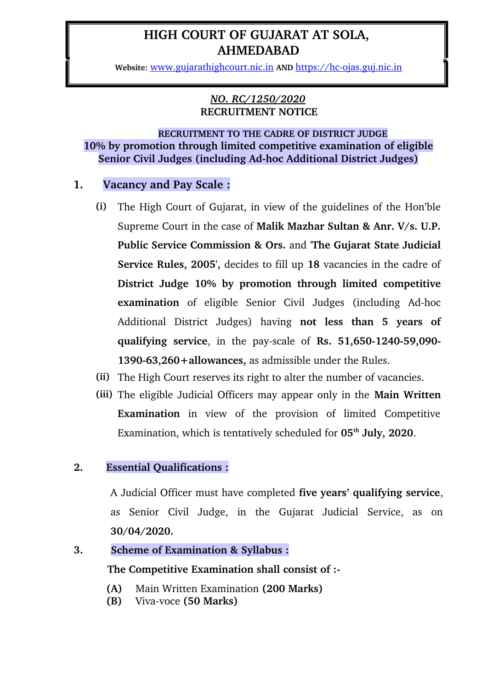# **HIGH COURT OF GUJARAT AT SOLA, AHMEDABAD**

Website: [www.gujarathighcourt.nic.in](http://www.gujarathighcourt.nic.in/) AND https://hc-ojas.guj.nic.in

#### *NO. RC/1250/2020* **RECRUITMENT NOTICE**

### **RECRUITMENT TO THE CADRE OF DISTRICT JUDGE 10% by promotion through limited competitive examination of eligible Senior Civil Judges (including Ad-hoc Additional District Judges)**

## **1. Vacancy and Pay Scale :**

- **(i)** The High Court of Gujarat, in view of the guidelines of the Hon'ble Supreme Court in the case of **Malik Mazhar Sultan & Anr. V/s. U.P. Public Service Commission & Ors.** and **'The Gujarat State Judicial Service Rules, 2005',** decides to fill up **18** vacancies in the cadre of **District Judge 10% by promotion through limited competitive examination** of eligible Senior Civil Judges (including Ad-hoc Additional District Judges) having **not less than 5 years of qualifying service**, in the pay-scale of **Rs.** 51,650-1240-59,090-1390-63,260+allowances, as admissible under the Rules.
- **(ii)** The High Court reserves its right to alter the number of vacancies.
- **(iii)** The eligible Judicial Officers may appear only in the **Main Written Examination** in view of the provision of limited Competitive Examination, which is tentatively scheduled for **05th July, 2020**.

## **2. Essential Qualifications :**

A Judicial Officer must have completed **five years' qualifying service**, as Senior Civil Judge, in the Gujarat Judicial Service, as on **30/04/2020.**

## **3. Scheme of Examination & Syllabus :**

 **The Competitive Examination shall consist of :**

- **(A)** Main Written Examination **(200 Marks)**
- **(B)** Viva-voce (50 Marks)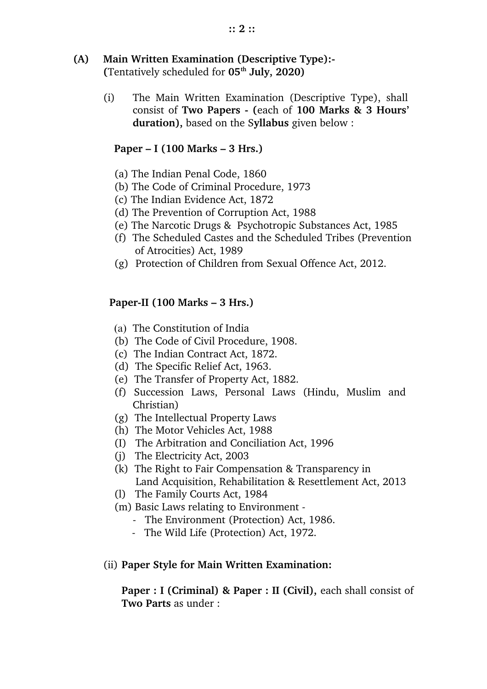### **(A) Main Written Examination (Descriptive Type): (**Tentatively scheduled for **05th July, 2020)**

(i) The Main Written Examination (Descriptive Type), shall consist of **Two Papers (**each of **100 Marks & 3 Hours' duration),** based on the S**yllabus** given below :

## **Paper – I (100 Marks – 3 Hrs.)**

- (a) The Indian Penal Code, 1860
- (b) The Code of Criminal Procedure, 1973
- (c) The Indian Evidence Act, 1872
- (d) The Prevention of Corruption Act, 1988
- (e) The Narcotic Drugs & Psychotropic Substances Act, 1985
- (f) The Scheduled Castes and the Scheduled Tribes (Prevention of Atrocities) Act, 1989
- (g) Protection of Children from Sexual Offence Act, 2012.

# **PaperII (100 Marks – 3 Hrs.)**

- (a) The Constitution of India
- (b) The Code of Civil Procedure, 1908.
- (c) The Indian Contract Act, 1872.
- (d) The Specific Relief Act, 1963.
- (e) The Transfer of Property Act, 1882.
- (f) Succession Laws, Personal Laws (Hindu, Muslim and Christian)
- (g) The Intellectual Property Laws
- (h) The Motor Vehicles Act, 1988
- (I) The Arbitration and Conciliation Act, 1996
- (j) The Electricity Act, 2003
- (k) The Right to Fair Compensation & Transparency in Land Acquisition, Rehabilitation & Resettlement Act, 2013
- (l) The Family Courts Act, 1984
- (m) Basic Laws relating to Environment
	- The Environment (Protection) Act, 1986.
	- The Wild Life (Protection) Act, 1972.

# (ii) **Paper Style for Main Written Examination:**

**Paper : I (Criminal) & Paper : II (Civil), each shall consist of Two Parts** as under :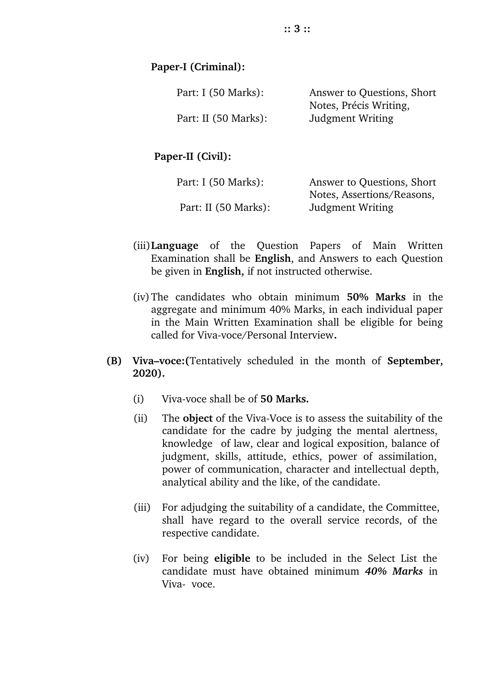| Part: I (50 Marks):  | Answer to Questions, Short |
|----------------------|----------------------------|
|                      | Notes, Précis Writing,     |
| Part: II (50 Marks): | Judgment Writing           |

Paper-II (Civil):

| Part: I (50 Marks):  | Answer to Questions, Short |
|----------------------|----------------------------|
|                      | Notes, Assertions/Reasons, |
| Part: II (50 Marks): | Judgment Writing           |

- (iii)**Language** of the Question Papers of Main Written Examination shall be **English**, and Answers to each Question be given in **English,** if not instructed otherwise.
- (iv)The candidates who obtain minimum **50% Marks** in the aggregate and minimum 40% Marks, in each individual paper in the Main Written Examination shall be eligible for being called for Viva-voce/Personal Interview.
- **(B) Viva–voce:(**Tentatively scheduled in the month of **September, 2020).**
	- (i) Viva-voce shall be of **50 Marks.**
	- (ii) The **object** of the Viva-Voce is to assess the suitability of the candidate for the cadre by judging the mental alertness, knowledge of law, clear and logical exposition, balance of judgment, skills, attitude, ethics, power of assimilation, power of communication, character and intellectual depth, analytical ability and the like, of the candidate.
	- (iii) For adjudging the suitability of a candidate, the Committee, shall have regard to the overall service records, of the respective candidate.
	- (iv) For being **eligible** to be included in the Select List the candidate must have obtained minimum *40% Marks* in Viva- voce.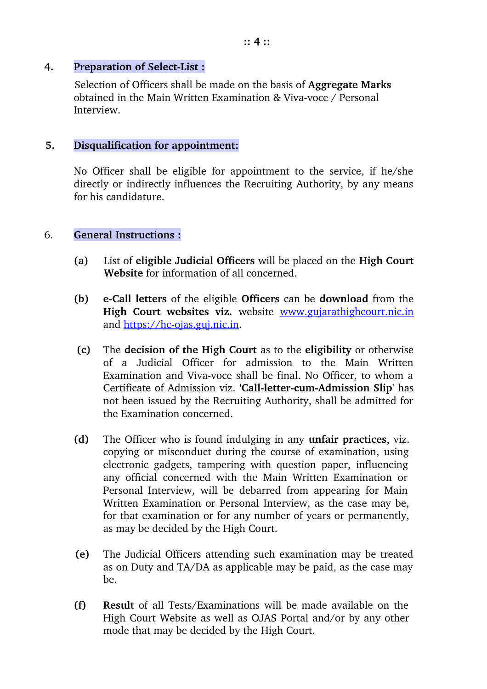#### **4. Preparation of Select-List :**

Selection of Officers shall be made on the basis of **Aggregate Marks** obtained in the Main Written Examination & Viva-voce  $\ell$  Personal Interview.

#### **5. Disqualification for appointment:**

No Officer shall be eligible for appointment to the service, if he/she directly or indirectly influences the Recruiting Authority, by any means for his candidature.

#### 6. **General Instructions :**

- **(a)** List of **eligible Judicial Officers** will be placed on the **High Court Website** for information of all concerned.
- **(b) eCall letters** of the eligible **Officers** can be **download** from the High Court websites viz. website [www.gujarathighcourt.nic.in](http://www.gujarathighcourt.nic.in/) and https://hc-ojas.guj.nic.in.
- **(c)** The **decision of the High Court** as to the **eligibility** or otherwise of a Judicial Officer for admission to the Main Written Examination and Viva-voce shall be final. No Officer, to whom a Certificate of Admission viz. 'Call-letter-cum-Admission Slip' has not been issued by the Recruiting Authority, shall be admitted for the Examination concerned.
- **(d)** The Officer who is found indulging in any **unfair practices**, viz. copying or misconduct during the course of examination, using electronic gadgets, tampering with question paper, influencing any official concerned with the Main Written Examination or Personal Interview, will be debarred from appearing for Main Written Examination or Personal Interview, as the case may be, for that examination or for any number of years or permanently, as may be decided by the High Court.
- **(e)** The Judicial Officers attending such examination may be treated as on Duty and TA/DA as applicable may be paid, as the case may be.
- **(f) Result** of all Tests/Examinations will be made available on the High Court Website as well as OJAS Portal and/or by any other mode that may be decided by the High Court.